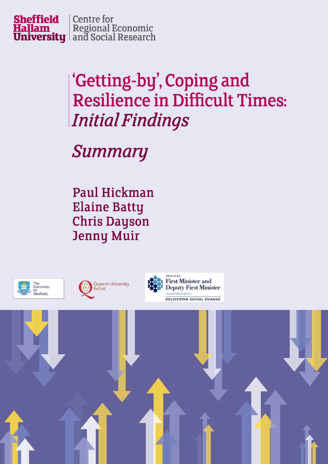

# 'Getting-by', Coping and **Resilience in Difficult Times: Initial Findings**

**Summary** 

**Paul Hickman Elaine Batty Chris Dayson Jenny Muir** 

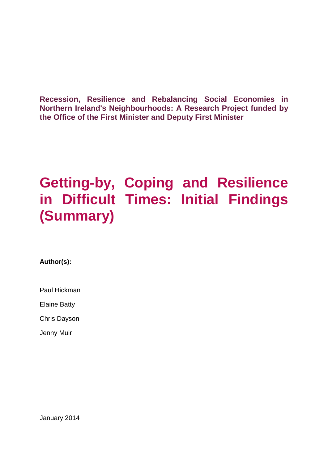**Recession, Resilience and Rebalancing Social Economies in Northern Ireland's Neighbourhoods: A Research Project funded by the Office of the First Minister and Deputy First Minister**

## **Getting-by, Coping and Resilience in Difficult Times: Initial Findings (Summary)**

**Author(s):**

Paul Hickman

Elaine Batty

Chris Dayson

Jenny Muir

January 2014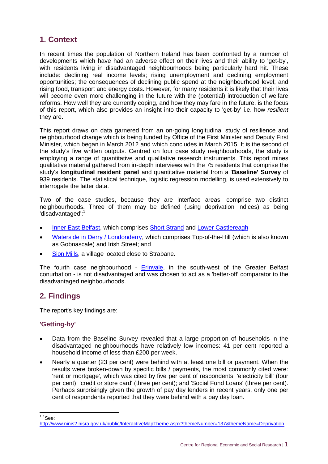## **1. Context**

In recent times the population of Northern Ireland has been confronted by a number of developments which have had an adverse effect on their lives and their ability to 'get-by', with residents living in disadvantaged neighbourhoods being particularly hard hit. These include: declining real income levels; rising unemployment and declining employment opportunities; the consequences of declining public spend at the neighbourhood level; and rising food, transport and energy costs. However, for many residents it is likely that their lives will become even more challenging in the future with the (potential) introduction of welfare reforms. How well they are currently coping, and how they may fare in the future, is the focus of this report, which also provides an insight into their capacity to 'get-by' i.e. how *resilient* they are.

This report draws on data garnered from an on-going longitudinal study of resilience and neighbourhood change which is being funded by Office of [the First Minister and Deputy First](http://www.ofmdfmni.gov.uk/)  [Minister,](http://www.ofmdfmni.gov.uk/) which began in March 2012 and which concludes in March 2015. It is the second of the study's five written outputs. Centred on four case study neighbourhoods, the study is employing a range of quantitative and qualitative research instruments. This report mines qualitative material gathered from in-depth interviews with the 75 residents that comprise the study's **longitudinal resident panel** and quantitative material from a '**Baseline' Survey** of 939 residents. The statistical technique, logistic regression modelling, is used extensively to interrogate the latter data.

Two of the case studies, because they are interface areas, comprise two distinct neighbourhoods. Three of them may be defined (using deprivation indices) as being 'disadvantaged':<sup>1</sup>

- [Inner East Belfast,](http://research.shu.ac.uk/cresr/recession-resilience-rebalancing/east-belfast.htm) which comprises [Short Strand](http://research.shu.ac.uk/cresr/recession-resilience-rebalancing/east-belfast.htm#ss-overview) and [Lower Castlereagh](http://research.shu.ac.uk/cresr/recession-resilience-rebalancing/east-belfast.htm#lc-overview)
- [Waterside in Derry / Londonderry,](http://research.shu.ac.uk/cresr/recession-resilience-rebalancing/derry-londonderry.htm) which comprises [Top-of-the-Hill](http://research.shu.ac.uk/cresr/recession-resilience-rebalancing/derry-londonderry.htm#toth-overview) (which is also known as Gobnascale) and [Irish Street;](http://research.shu.ac.uk/cresr/recession-resilience-rebalancing/derry-londonderry.htm#is-overview) and
- [Sion Mills,](http://research.shu.ac.uk/cresr/recession-resilience-rebalancing/sion-mills.htm) a village located close to Strabane.

The fourth case neighbourhood - [Erinvale,](http://research.shu.ac.uk/cresr/recession-resilience-rebalancing/erinvale.htm) in the south-west of the Greater Belfast conurbation - is not disadvantaged and was chosen to act as a 'better-off' comparator to the disadvantaged neighbourhoods.

## **2. Findings**

The report's key findings are:

## **'Getting-by'**

- Data from the Baseline Survey revealed that a large proportion of households in the disadvantaged neighbourhoods have relatively low incomes: 41 per cent reported a household income of less than £200 per week.
- Nearly a quarter (23 per cent) were behind with at least one bill or payment. When the results were broken-down by specific bills / payments, the most commonly cited were: 'rent or mortgage', which was cited by five per cent of respondents; 'electricity bill' (four per cent); 'credit or store card' (three per cent); and 'Social Fund Loans' (three per cent). Perhaps surprisingly given the growth of pay day lenders in recent years, only one per cent of respondents reported that they were behind with a pay day loan.

 $\frac{11}{1}$ See:

<http://www.ninis2.nisra.gov.uk/public/InteractiveMapTheme.aspx?themeNumber=137&themeName=Deprivation>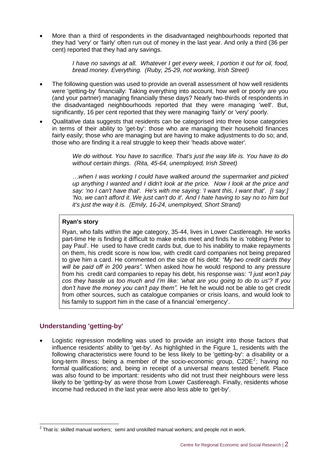More than a third of respondents in the disadvantaged neighbourhoods reported that they had 'very' or 'fairly' often run out of money in the last year. And only a third (36 per cent) reported that they had any savings.

> *I have no savings at all. Whatever I get every week, I portion it out for oil, food, bread money. Everything. (Ruby, 25-29, not working, Irish Street)*

- The following question was used to provide an overall assessment of how well residents were 'getting-by' financially: Taking everything into account, how well or poorly are you (and your partner) managing financially these days? Nearly two-thirds of respondents in the disadvantaged neighbourhoods reported that they were managing 'well'. But, significantly, 16 per cent reported that they were managing 'fairly' or 'very' poorly.
- Qualitative data suggests that residents can be categorised into three loose categories in terms of their ability to 'get-by': those who are managing their household finances fairly easily; those who are managing but are having to make adjustments to do so; and, those who are finding it a real struggle to keep their 'heads above water'.

*We do without. You have to sacrifice. That's just the way life is. You have to do without certain things. (Rita, 45-64, unemployed, Irish Street)*

*…when I was working I could have walked around the supermarket and picked up anything I wanted and I didn't look at the price. Now I look at the price and say: 'no I can't have that'. He's with me saying: 'I want this, I want that'. [I say:] 'No, we can't afford it. We just can't do it'. And I hate having to say no to him but it's just the way it is. (Emily, 16-24, unemployed, Short Strand)*

#### **Ryan's story**

Ryan, who falls within the age category, 35-44, lives in Lower Castlereagh. He works part-time He is finding it difficult to make ends meet and finds he is 'robbing Peter to pay Paul'. He used to have credit cards but, due to his inability to make repayments on them, his credit score is now low, with credit card companies not being prepared to give him a card. He commented on the size of his debt: *"My two credit cards they will be paid off in 200 years".* When asked how he would respond to any pressure from his credit card companies to repay his debt, his response was: *"I just won't pay cos they hassle us too much and I'm like: 'what are you going to do to us'? If you don't have the money you can't pay them".* He felt he would not be able to get credit from other sources, such as catalogue companies or crisis loans, and would look to his family to support him in the case of a financial 'emergency'.

## **Understanding 'getting-by'**

 Logistic regression modelling was used to provide an insight into those factors that influence residents' ability to 'get-by'. As highlighted in the Figure 1, residents with the following characteristics were found to be less likely to be 'getting-by': a disability or a long-term illness; being a member of the socio-economic group,  $C2DE^2$ ; having no formal qualifications; and, being in receipt of a universal means tested benefit. Place was also found to be important: residents who did not trust their neighbours were less likely to be 'getting-by' as were those from Lower Castlereagh. Finally, residents whose income had reduced in the last year were also less able to 'get-by'.

 2 That is: skilled manual workers; semi and unskilled manual workers; and people not in work.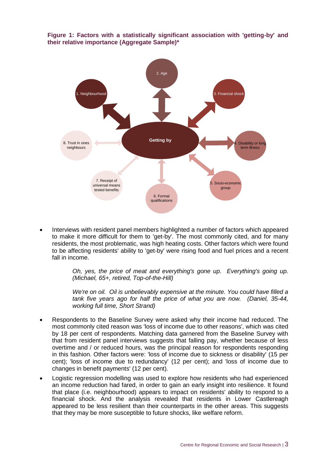



 Interviews with resident panel members highlighted a number of factors which appeared to make it more difficult for them to 'get-by'. The most commonly cited, and for many residents, the most problematic, was high heating costs. Other factors which were found to be affecting residents' ability to 'get-by' were rising food and fuel prices and a recent fall in income.

> *Oh, yes, the price of meat and everything's gone up. Everything's going up. (Michael, 65+, retired, Top-of-the-Hill)*

> *We're on oil. Oil is unbelievably expensive at the minute. You could have filled a tank five years ago for half the price of what you are now. (Daniel, 35-44, working full time, Short Strand)*

- Respondents to the Baseline Survey were asked why their income had reduced. The most commonly cited reason was 'loss of income due to other reasons', which was cited by 18 per cent of respondents. Matching data garnered from the Baseline Survey with that from resident panel interviews suggests that falling pay, whether because of less overtime and / or reduced hours, was the principal reason for respondents responding in this fashion. Other factors were: 'loss of income due to sickness or disability' (15 per cent); 'loss of income due to redundancy' (12 per cent); and 'loss of income due to changes in benefit payments' (12 per cent).
- Logistic regression modelling was used to explore how residents who had experienced an income reduction had fared, in order to gain an early insight into resilience. It found that place (i.e. neighbourhood) appears to impact on residents' ability to respond to a financial shock. And the analysis revealed that residents in Lower Castlereagh appeared to be less resilient than their counterparts in the other areas. This suggests that they may be more susceptible to future shocks, like welfare reform.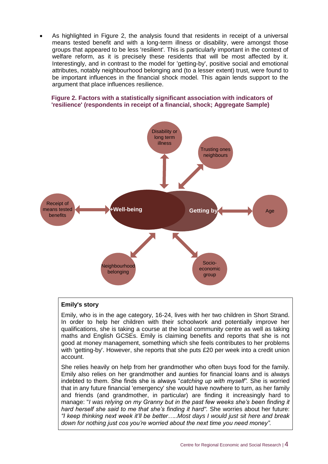As highlighted in Figure 2, the analysis found that residents in receipt of a universal means tested benefit and with a long-term illness or disability, were amongst those groups that appeared to be less 'resilient'. This is particularly important in the context of welfare reform, as it is precisely these residents that will be most affected by it. Interestingly, and in contrast to the model for 'getting-by', positive social and emotional attributes, notably neighbourhood belonging and (to a lesser extent) trust, were found to be important influences in the financial shock model. This again lends support to the argument that place influences resilience.

#### **Figure 2. Factors with a statistically significant association with indicators of 'resilience' (respondents in receipt of a financial, shock; Aggregate Sample)**



#### **Emily's story**

Emily, who is in the age category, 16-24, lives with her two children in Short Strand. In order to help her children with their schoolwork and potentially improve her qualifications, she is taking a course at the local community centre as well as taking maths and English GCSEs. Emily is claiming benefits and reports that she is not good at money management, something which she feels contributes to her problems with 'getting-by'. However, she reports that she puts £20 per week into a credit union account.

She relies heavily on help from her grandmother who often buys food for the family. Emily also relies on her grandmother and aunties for financial loans and is always indebted to them. She finds she is always "*catching up with myself".* She is worried that in any future financial 'emergency' she would have nowhere to turn, as her family and friends (and grandmother, in particular) are finding it increasingly hard to manage: "*I was relying on my Granny but in the past few weeks she's been finding it hard herself she said to me that she's finding it hard".* She worries about her future: *"I keep thinking next week it'll be better…..Most days I would just sit here and break down for nothing just cos you're worried about the next time you need money".*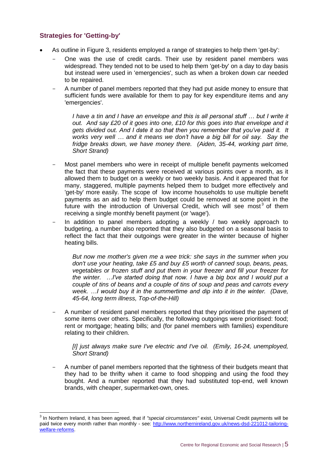## **Strategies for 'Getting-by'**

- As outline in Figure 3, residents employed a range of strategies to help them 'get-by':
	- One was the use of credit cards. Their use by resident panel members was widespread. They tended not to be used to help them 'get-by' on a day to day basis but instead were used in 'emergencies', such as when a broken down car needed to be repaired.
	- A number of panel members reported that they had put aside money to ensure that sufficient funds were available for them to pay for key expenditure items and any 'emergencies'.

*I have a tin and I have an envelope and this is all personal stuff ... but I write it out. And say £20 of it goes into one, £10 for this goes into that envelope and it gets divided out. And I date it so that then you remember that you've paid it. It works very well … and it means we don't have a big bill for oil say. Say the fridge breaks down, we have money there. (Aiden, 35-44, working part time, Short Strand)*

- Most panel members who were in receipt of multiple benefit payments welcomed the fact that these payments were received at various points over a month, as it allowed them to budget on a weekly or two weekly basis. And it appeared that for many, staggered, multiple payments helped them to budget more effectively and 'get-by' more easily. The scope of low income households to use multiple benefit payments as an aid to help them budget could be removed at some point in the future with the introduction of Universal Credit, which will see most<sup>3</sup> of them receiving a single monthly benefit payment (or 'wage').
- In addition to panel members adopting a weekly / two weekly approach to budgeting, a number also reported that they also budgeted on a seasonal basis to reflect the fact that their outgoings were greater in the winter because of higher heating bills.

*But now me mother's given me a wee trick: she says in the summer when you don't use your heating, take £5 and buy £5 worth of canned soup, beans, peas, vegetables or frozen stuff and put them in your freezer and fill your freezer for the winter. …I've started doing that now. I have a big box and I would put a couple of tins of beans and a couple of tins of soup and peas and carrots every week. …I would buy it in the summertime and dip into it in the winter. (Dave, 45-64, long term illness, Top-of-the-Hill)*

A number of resident panel members reported that they prioritised the payment of some items over others. Specifically, the following outgoings were prioritised: food; rent or mortgage; heating bills; and (for panel members with families) expenditure relating to their children.

*[I] just always make sure I've electric and I've oil. (Emily, 16-24, unemployed, Short Strand)*

- A number of panel members reported that the tightness of their budgets meant that they had to be thrifty when it came to food shopping and using the food they bought. And a number reported that they had substituted top-end, well known brands, with cheaper, supermarket-own, ones.

 3 In Northern Ireland, it has been agreed, that if *"special circumstances"* exist, Universal Credit payments will be paid twice every month rather than monthly - see: [http://www.northernireland.gov.uk/news-dsd-221012-tailoring](http://www.northernireland.gov.uk/news-dsd-221012-tailoring-welfare-reforms)[welfare-reforms.](http://www.northernireland.gov.uk/news-dsd-221012-tailoring-welfare-reforms)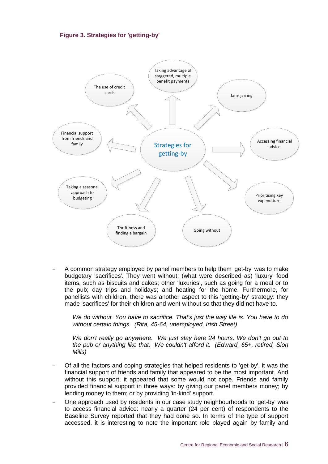



- A common strategy employed by panel members to help them 'get-by' was to make budgetary 'sacrifices'. They went without: (what were described as) 'luxury' food items, such as biscuits and cakes; other 'luxuries', such as going for a meal or to the pub; day trips and holidays; and heating for the home. Furthermore, for panellists with children, there was another aspect to this 'getting-by' strategy: they made 'sacrifices' for their children and went without so that they did not have to.

*We do without. You have to sacrifice. That's just the way life is. You have to do without certain things. (Rita, 45-64, unemployed, Irish Street)*

*We don't really go anywhere. We just stay here 24 hours. We don't go out to the pub or anything like that. We couldn't afford it. (Edward, 65+, retired, Sion Mills)*

- Of all the factors and coping strategies that helped residents to 'get-by', it was the financial support of friends and family that appeared to be the most important. And without this support, it appeared that some would not cope. Friends and family provided financial support in three ways: by giving our panel members money; by lending money to them; or by providing 'in-kind' support.
- One approach used by residents in our case study neighbourhoods to 'get-by' was to access financial advice: nearly a quarter (24 per cent) of respondents to the Baseline Survey reported that they had done so. In terms of the type of support accessed, it is interesting to note the important role played again by family and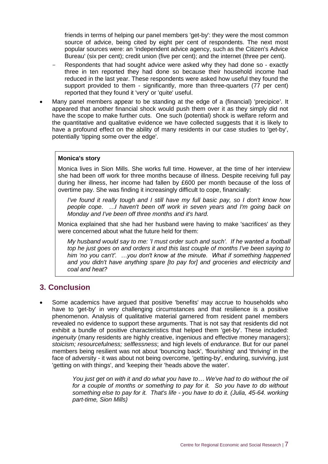friends in terms of helping our panel members 'get-by': they were the most common source of advice, being cited by eight per cent of respondents. The next most popular sources were: an 'independent advice agency, such as the Citizen's Advice Bureau' (six per cent); credit union (five per cent); and the internet (three per cent).

- Respondents that had sought advice were asked why they had done so exactly three in ten reported they had done so because their household income had reduced in the last year. These respondents were asked how useful they found the support provided to them - significantly, more than three-quarters (77 per cent) reported that they found it 'very' or 'quite' useful.
- Many panel members appear to be standing at the edge of a (financial) 'precipice'. It appeared that another financial shock would push them over it as they simply did not have the scope to make further cuts. One such (potential) shock is welfare reform and the quantitative and qualitative evidence we have collected suggests that it is likely to have a profound effect on the ability of many residents in our case studies to 'get-by', potentially 'tipping some over the edge'.

#### **Monica's story**

Monica lives in Sion Mills. She works full time. However, at the time of her interview she had been off work for three months because of illness. Despite receiving full pay during her illness, her income had fallen by £600 per month because of the loss of overtime pay. She was finding it increasingly difficult to cope, financially:

*I've found it really tough and I still have my full basic pay, so I don't know how people cope. …I haven't been off work in seven years and I'm going back on Monday and I've been off three months and it's hard.*

Monica explained that she had her husband were having to make 'sacrifices' as they were concerned about what the future held for them:

*My husband would say to me: 'I must order such and such'. If he wanted a football top he just goes on and orders it and this last couple of months I've been saying to him 'no you can't'. …you don't know at the minute. What if something happened and you didn't have anything spare [to pay for] and groceries and electricity and coal and heat?*

## **3. Conclusion**

 Some academics have argued that positive 'benefits' may accrue to households who have to 'get-by' in very challenging circumstances and that resilience is a positive phenomenon. Analysis of qualitative material garnered from resident panel members revealed no evidence to support these arguments. That is not say that residents did not exhibit a bundle of positive characteristics that helped them 'get-by'. These included: *ingenuity* (many residents are highly creative, ingenious and effective money managers); *stoicism; resourcefulness; selflessness*; and high levels of *endurance*. But for our panel members being resilient was not about 'bouncing back', 'flourishing' and 'thriving' in the face of adversity - it was about not being overcome, 'getting-by', enduring, surviving, just 'getting on with things', and 'keeping their 'heads above the water'.

> *You just get on with it and do what you have to… We've had to do without the oil for a couple of months or something to pay for it. So you have to do without something else to pay for it. That's life - you have to do it. (Julia, 45-64. working part-time, Sion Mills)*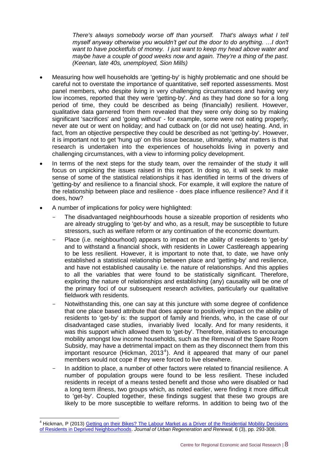*There's always somebody worse off than yourself. That's always what I tell myself anyway otherwise you wouldn't get out the door to do anything. …I don't want to have pocketfuls of money. I just want to keep my head above water and maybe have a couple of good weeks now and again. They're a thing of the past. (Keenan, late 40s, unemployed, Sion Mills)*

- Measuring how well households are 'getting-by' is highly problematic and one should be careful not to overstate the importance of quantitative, self reported assessments. Most panel members, who despite living in very challenging circumstances and having very low incomes, reported that they were 'getting-by'. And as they had done so for a long period of time, they could be described as being (financially) resilient. However, qualitative data garnered from them revealed that they were only doing so by making significant 'sacrifices' and 'going without' - for example, some were not eating properly; never ate out or went on holiday; and had cutback on (or did not use) heating. And, in fact, from an objective perspective they could be described as not 'getting-by'. However, it is important not to get 'hung up' on this issue because, ultimately, what matters is that research is undertaken into the experiences of households living in poverty and challenging circumstances, with a view to informing policy development.
- In terms of the next steps for the study team, over the remainder of the study it will focus on unpicking the issues raised in this report. In doing so, it will seek to make sense of some of the statistical relationships it has identified in terms of the drivers of 'getting-by' and resilience to a financial shock. For example, it will explore the nature of the relationship between place and resilience - does place influence resilience? And if it does, how?
- A number of implications for policy were highlighted:

-

- The disadvantaged neighbourhoods house a sizeable proportion of residents who are already struggling to 'get-by' and who, as a result, may be susceptible to future stressors, such as welfare reform or any continuation of the economic downturn.
- Place (i.e. neighbourhood) appears to impact on the ability of residents to 'get-by' and to withstand a financial shock, with residents in Lower Castlereagh appearing to be less resilient. However, it is important to note that, to date, we have only established a statistical relationship between place and 'getting-by' and resilience, and have not established causality i.e. the nature of relationships. And this applies to all the variables that were found to be statistically significant. Therefore, exploring the nature of relationships and establishing (any) causality will be one of the primary foci of our subsequent research activities, particularly our qualitative fieldwork with residents.
- Notwithstanding this, one can say at this juncture with some degree of confidence that one place based attribute that does appear to positively impact on the ability of residents to 'get-by' is: the support of family and friends, who, in the case of our disadvantaged case studies, invariably lived locally. And for many residents, it was this support which allowed them to 'get-by'. Therefore, initiatives to encourage mobility amongst low income households, such as the Removal of the Spare Room Subsidy, may have a detrimental impact on them as they disconnect them from this important resource (Hickman, 2013<sup>4</sup>). And it appeared that many of our panel members would not cope if they were forced to live elsewhere.
- In addition to place, a number of other factors were related to financial resilience. A number of population groups were found to be less resilient. These included residents in receipt of a means tested benefit and those who were disabled or had a long term illness, two groups which, as noted earlier, were finding it more difficult to 'get-by'. Coupled together, these findings suggest that these two groups are likely to be more susceptible to welfare reforms. In addition to being two of the

<sup>&</sup>lt;sup>4</sup> Hickman, P (2013) Getting on their Bikes? The Labour Market as a Driver of the Residential Mobility Decisions [of Residents in Deprived Neighbourhoods.](http://henrystewart.metapress.com/media/2g540x56tjcwwk90fatn/contributions/j/6/7/q/j67q65352476m315.pdf) *Journal of Urban Regeneration and Renewal,* 6 (3), pp. 293-308.